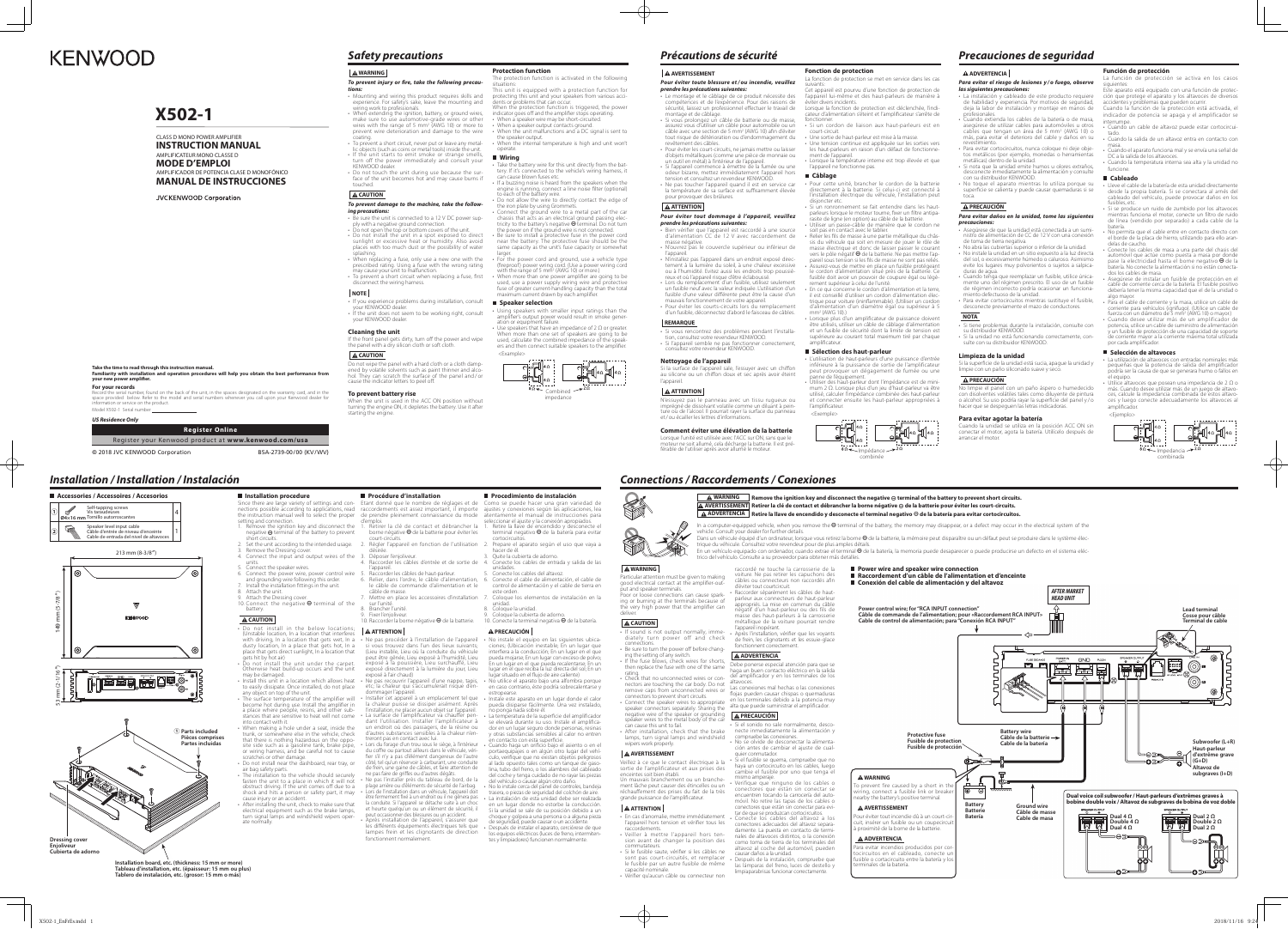### Pour éviter toute blessure et / ou incendie, veuillez *:suivantes précautions les prendre*

- 
- Le montage et le câblage de ce produit nécessite des<br>
compétences et de l'expérience. Pour des raisons de<br>
sécurité, laissez un professionnel effectuer le travail de<br>
montage et de câblage.<br>
 Si vous prolongez un câble
- 
- un outil en métal) à l'intérieur de l'appareil.<br>• Si l'appareil commence à émettre de la fumée ou une
- odeur bizarre, mettez immédiatement l'appareil hors<br>tension et consultez un revendeur KENWOOD.<br>• Ne pas toucher l'appareil quand il est en service car
- la température de sa surface est suffisamment élevée pour provoquer des brûlures

## **A ATTENTION**

### Pour éviter tout dommage à l'appareil, veuillez *prendre les précautions suivantes:*

- 
- Bien vérifier que l'appareil est raccordé à une source<br>• d'alimentation CC de 12 V avec raccordement de masse négative.<br>• N'ouvrez pas le couvercle supérieur ou inférieur de l'apparei • Utiliser un passe-câble de manière que le cordon ne<br>• soit pas en contact avec le tablier. - Relier les fils de masse à une partie métallique du châs-<br>sis-du véhicule qui soit en mesure de jouer le rôle de masse électrique et donc de laisser passer le courant mettre protunque la de la batterie. Ne pas mettre l'ap
- extive challez pas l'appareil dans un endroit exposé direction est direc-<br>tement à la lumière du soleil, à une chaleur excessive ou à l'humidité. Evitez aussi les endroits trop poussié-
- ou à l'humidité. Evitez aussi les endroits trop poussié-<br>reux et où l'appareil risque d'être éclaboussé.<br>• Lors du remplacement d'un fusible, utilisez seulement
- un fusible neuf avec la valeur indiquée. L'utilisation d'un<br>fusible d'une valeur différente peut être la cause d'un mauvais fonctionnement de votre appareil. • Pour éviter les courts-circuits lors du remplacement<br>• d'un fusible, déconnectez d'abord le faisceau de câbles. En ce qui concerne le cordon d'alimentation et la terre il est conseillé d'utiliser un cordon d'alimentation élec-<br>trique pour voiture (ininflammable). (Utiliser un cordon d'alimentation d'un diamètre égal ou supérieur à 5
- 
- 
- fonctionner.<br>• Si un cordon de liaison aux haut-parleurs est en
- court-circuit.<br>• Une sortie de haut-parleur est mise à la masse.
- Une tension continue est appliquée sur les sorties vers<br>| les haut-parleurs en raison d'un défaut de fonctionne-<br>| ment de l'appareil.
- Lorsque la température interne est trop élevée et que<br>l'appareil ne fonctionne pas. **Câblage**

- Pour cette unité, brancher le cordon de la batterie<br>• directement à la batterie. Si celui-ci est connecté à<br>• l'installation électrique du véhicule, l'installation peut disjoncter etc.
- Si un ronronnement se fait entendre dans les haut-<br>parleurs lorsque le moteur tourne, fixer un filtre antipa-<br>rasite de ligne (en option) au câble de la batterie.
- vers le pôle négatif **O** de la batterie. Ne pas mettre l'ap-<br>pareil sous tension si les fils de masse ne sont pas reliés.<br>• Assurez-vous de mettre en place un fusible protégeant le cordon d'alimentation situé près de la batterie. Ce fusible doit avoir un pouvoir de coupure égal ou légè-<br>rement supérieur à celui de l'unité.

mm<sup>2</sup> (AWG 10).)<br>• Lorsque plus d'un amplificateur de puissance doivent être utilisés, utiliser un câble de câblage d'alimentation<br>et un fusible de sécurité dont la limite de tension est<br>supérieure au courant total maximum tiré par chaque apeneare al<br>mplificateur

### $\blacksquare$  Sélection des haut-parleur

- L'utilisation de haut-parleurs d'une puissance d'entrée<br>inférieure à la puissance de sortie de l'amplificateur<br>peut provoquer un dégagement de fumée ou une<br>panne de l'équipement.<br>• Utiliser des haut-parleur dont l'impéda
- utilisé, calculer l'impédance combinée des haut-parleur<br>et connecter ensuite les haut-parleur appropriées à<br>l'amplificateur.

### **REMARQUE**

- It Si vous rencontrez des problèmes pendant l'installation, consultez votre revendeur KENWOOD.
- Si l'appareil semble ne pas fonctionner correctement,<br>consultez votre revendeur KENWOOD.

### **Nettoyage de l'appareil**

Si la surface de l'appareil sale, l'essuyer avec un chiffon<br>au silicone ou un chiffon doux et sec après avoir éteint l'appareil.

### **A ATTENTION**

N'essuyez pas le panneau avec un tissu rugueux ou<br>imprégné de dissolvant volatile comme un diluant à pein-<br>ture ou de l'alcool. Il pourrait rayer la surface du panneau et/ou écailler les lettres d'informations.

### **Comment éviter une élévation de la batterie**

Lorsque l'unité est utilisée avec l'ACC sur ON, sans que le<br>moteur ne soit allumé, cela décharge la batterie. Il est pré-<br>férable de l'utiliser après avoir allumé le moteur.

- 
- Mounting and wiring this product requires skills and experience. For safety's sake, leave the mounting and wiring work to professionals.<br>• When extending the ignition, battery, or ground wires, make sure to use automoti ent a short circuit, never put or leave any metal-
- I To prevent a short circuit, never put or leave any metal-<br>
lic objects (such as coins or metal tools) inside the unit.<br>
If the unit starts to emit smoke or strange smells,<br>
turn off the power immediately and consult your
- KENWOOD dealer.<br>• Do not touch the unit during use because the sur-<br>face of the unit becomes hot and may cause burns if
- .touched

### **A** CAUTION

# To prevent damage to the machine, take the follow-<br>ing precautions:

- . .<br>Se sure the unit is connected to a 12 V DC power sup-
- Be sure the unit is connected to a 12 V DC power sup-<br>ply with a negative ground connection.<br>Ob not open the top or bottom covers of the unit.<br> $\cdot$  Do not install the unit in a spot exposed to direct<br>sunlight or excessive
- splashing.<br>When replacing a fuse, only use a new one with the<br>when replacing. Using a fuse with the wrong rating<br>may cause your unit to malfunction.<br>To prevent a short circuit when replacing a fuse, first<br>disconnect the wi
- 
- When the protection function is triggered, the power
- indicator goes off and the amplifier stops operating.<br>• When a speaker wire may be short-circuited.<br>• When a speaker output contacts ground.
- when a speaker barbar contacts ground.<br>When the unit malfunctions and a DC signal is sent to
- the speaker output.<br>• When the internal temperature is high and unit won't .operate

### **WARNING**

To prevent injury or fire, take the following precau-<br>tions:

### Para evitar daños en la unidad, tome las siguientes *:precauciones*

- Asegúrese de que la unidad está conectada a un suministro de alimentación de CC de 12 V con una conexión
- de toma de tierra negativa.<br>• No abra las cubiertas superior o inferior de la unidad.<br>• No instale la unidad en un sitio expuesto a la luz directa<br>del sol, o excesivamente húmedo o caluroso. Asimismo<br>evite los lugares muy
- Cuando tenga que reemplazar un fusible, utilice única-<br>mente-uno del régimen prescrito. El uso de un fusible de régimen incorrecto podría ocasionar un funciona-<br>miento defectuoso de la unidad.
- nuento del cettosso de la dindada.<br>Para evitar cortocircuitos mientras sustituye el fusible, conecte previamente el mazo de conductores.
- interrumpe.<br>• Cuando un cable de altavoz puede estar cortocircui-<br>• tado.
- cuando la salida de un altavoz entra en contacto con masa.<br>• Cuando el aparato funciona mal y se envía una señal de
- DC a la salida de los altavoces
- no unidad la temperatura interna sea alta y la unidad no .funcione

### **NOTE**

- **c** If you experience problems during installation, consult **Expeaker selection**
- your KENWOOD dealer.<br>• If the unit does not seem to be working right, consult<br>your KENWOOD dealer.

### **Cleaning the unit**

If the front panel gets dirty, turn off the power and wipe<br>the panel with a dry silicon cloth or soft cloth.

### **A** CAUTION

Do not wipe the panel with a hard cloth or a cloth damp-<br>ened by volatile solvents such as paint thinner and alco-<br>hol. They can scratch the surface of the panel and/or Do not wipe the panel with a hard cloth or a cloth dampause the indicator letters to peel of

### **To prevent battery rise**

When the unit is used in the ACC ON position without<br>turning the engine ON, it depletes the battery. Use it after starting the engine

 $\blacksquare$  Procédure d'installation

able de masse

sur l'unité.<br>8. Brancher l'unité. Fixer l'enjoliveur.

**A ATTENTION** 

sé à l'air chaud)

fonctionnent normalement

Ftant donné que le nombre de réglages et de raccordements est assez important, il importe<br>de prendre pleinement connaissance du mode

d'emploi.<br>
1. Retirer la clé de contact et débrancher la<br>
borne négative **O** de la batterie pour éviter les<br>
court-circuits.<br>
2. Régler l'appareil en fonction de l'utilisation<br>
désirée.<br>
3. Déposer l'enjoliveur.<br>
4. Raccor

l'appareil.<br>5. Raccorder les câbles de haut-parleur.<br>6. Relier, dans l'ordre, le câble d'alimentation,<br>le câble de commande d'alimentation et le

.<br>10. Raccorder la borne négative **⊖** de la batterie.

• Ne pas procéder à l'installation de l'appareil<br>si vous trouvez dans l'un des lieux suivants;<br>(Lieu instable, Lieu où la conduite du véhicule<br>peut être gênée, Lieu exposé à l'humidité, Lieu<br>exposé à la poussière, Lieu sur

• Ne pas recouvrir l'appareil d'une nappe, tapis,<br>- etc; la chaleur qui s'accumulerait risque d'en-<br>- dommager l'appareil. nmager i appareil.<br>aller cet appareil à un emplacement tel que

la chaleur puisse se dissiper aisément. Après<br>l'installation, ne placer aucun objet sur l'appareil<br>• La surface de l'amplificateur va chauffer pen-<br>dant l'utilisation. Installer l'amplificateur à

un endroit où des passagers, de la résine ou<br>d'autres substances sensibles à la chaleur n'en-<br>treront pas en contact avec lui. Lors du forage d'une sous le siège, à l'intérieur du coffre ou partout ailleurs dans le véhicule, véri fier s'il n'y a pas d'élément dangereux de l'autre<br>côté, tel qu'un réservoir à carburant, une conduite de frein, une gaine de câbles, et faire attention de ne pas faire de griffes ou d'autres dégâts • Ne pas l'installer près du tableau de bord, de la<br>• plage arrière ou d'éléments de sécurité de l'airbag. Lors de l'installation dans un véhicule, l'appareil doit être fermement fixé à un endroit ou il ne gênera pas la conduite. Si l'appareil se détache suite à un choc<br>et heurte quelqu'un ou un élément de sécurité, il peut occasionner des blessures ou un accident. Après installation de l'appareil, s'assurer que rents équipements électriques tels que lampes frein et les clignotants de direction

7. Mettre en place les accessoires d'installation 7. Coloque los elementos de instalación en la

este orden unidad.<br>8. Coloque la unidad.

**A PRECAUCIÓN** 

estropearse.

### **Protection function**

ie protection function is activated in the following situations:<br>This unit is equipped with a protection function for protecting this unit and your speakers from various acci-<br>dents or problems that can occur.



# **Precauciones de seguridad**

### **Wiring**

- tery. If it's connected to the vehicle's wiring harness, it ake the battery wire for this unit directly from the batcan cause blown fuses etc.<br>• If a buzzing noise is heard from the speakers when the
- engine is running, connect a line noise filter (optional)<br>to each of the battery wire.<br>• Do not allow the wire to directly contact the edge of
- For a allow the whe to different contact the edge of<br>the iron plate by using Grommets.<br>Connect the ground wire to a metal part of the car<br>hassis that acts as an electrical ground passing elec-• Connect the ground wire to a metal part of the car<br>chassis that acts as an electrical ground passing electricity to the battery's negative **⊖** terminal. Do not turn
- the power on if the ground wire is not connected.<br>
 Be sure to install a protective fuse in the power cord<br>
near the battery. The protective fuse should be the<br>
same capacity as the unit's fuse capacity or somewhat
- larger.<br>
For the power cord and ground, use a vehicle type<br>
(freproof) power wring cord (Use a power wiring cord<br>
with the range of 5 mm<sup>2</sup> (AWG 10) or more.)<br>
When more than one power amplifier are going to be
- used, use a power supply wiring wire and protective<br>fuse of greater current-handling capacity than the total maximum current drawn by each amplifier.

 $\blacksquare$  Procedimiento de instalación Como se puede hacer una gran variedad de ajustes y conexiones según las aplicaciones, lea<br>atentamente el manual de instrucciones para

seleccionar el ajuste y la conexión apropiados.<br>
1. Retire la llave de encendido y desconecte el<br>
terminal negativo **O** de la batería para evitar<br>
cortocircuitos.<br>
2. Prepare el aparato según el uso que vaya a<br>
hacer de él

unidades.<br>5. Conecte los cables del altavoz.<br>6. Conecte el cable de alimentación, el cable de<br>control de alimentación y el cable de tierra en

9. Coloque la cubierta de adorno.<br>10. Conecte la terminal negativa **⊖** de la batería.

• No instale el equipo en las siguientes ubica-<br>ciones; (Ubicación inestable; En un lugar que

interfiera a la conducción; En un lugar en el que<br>pueda mojarse; En un lugar con exceso de polvo;<br>En un lugar en el que pueda recalentarse; En un<br>lugar en el que reciba la luz directa del sol; En un<br>lugar situado en el flu

• No utilice el aparato bajo una alfombra porque<br>en caso contrario, éste podría sobrecalentarse y

estropedise.<br>• Instale este aparato en un lugar donde el calor pueda disiparse fácilmente. Una vez instalado,<br>no ponga nada sobre él. cio poriga nada sobre el:<br>La temperatura de la superficie del amplificador dor en un lugar seguro donde personas, resinas se elevará durante su uso. Instale el amplifica y otras substancias sensibles al calor no entren ontacto con esta superficie. el en composito de la bajo cionente.<br>Cuando haga un orificio bajo el asiento o en el portaequipajes o en algún otro lugar del vehí-<br>culo, verifique que no existan objetos peligrosos al lado opuesto tales como un tanque de gaso-<br>lina, tubo del freno, o los alambres del cableado

del coche y tenga cuidado de no rayar las piezas<br>del vehículo o causar algún otro daño.<br>No lo instale cerca del panel de controles, bandeja<br>trasera, o piezas de seguridad del colchón de aire.<br>La instalación de esta unidad

- Using speakers with smaller input ratings than the<br>• amplifier's output power would result in smoke gener-<br>• ation or equipment failure.
- Use speakers that have an impedance of 2 Ω or greater.<br>When more than one set of speakers are going to be<br>used, calculate the combined impedance of the speak-<br>ers and then connect suitable speakers to the amplifier.

.deliver **A** CAUTION

Immédiatement Pas d'anomalie, mettre immédiatement<br>l'appareil hors tension et vérifier tous les raccordements.<br>• Veiller à mettre l'appareil hors ten-<br>sion avant de changer la position des

nmutateurs. e commutateurs.<br>• Si le fusible saute, vérifier si les câbles ne sont pas court-circuités, et remplacer me de fusible par un autre fusible de même

capacité nominale.<br>• Vérifier qu'aucun câble ou connecteur non

Take the time to read through this instruction manual.

**vour new power amplifier For your records** 

number<br>Model X502-1 Serial number **US Residence Only** 

# **KENWOOD**

# **502-1X**

### CLASS D MONO POWER AMPLIFIER **INSTRUCTION MANUAL** AMPLIFICATEUR MONO CLASSE D **MODE D'EMPLOI** AMPLIFICADOR DE POTENCIA CLASE D MONOFÓNICO **MANUAL DE INSTRUCCIONES**

JVCKENWOOD Corporation

**Familiarity** with installation and operation procedures will help you obtain the best performance from

Record the serial number, found on the back of the unit, in the spaces designated on the warranty card, and in the<br>space provided below. Refer to the model and serial numbers whenever you call upon your Kenwood dealer for

**Register Online** Register your Kenwood product at www.kenwood.com/usa



# **Safety** precautions



# **Précautions de sécurité**

### **A** AVERTISSEMENT



### **A** WARNING Remove the ignition key and disconnect the negative ⊖ terminal of the battery to prevent short circuits. **A** AVERTISSEMENT Retirer la clé de contact et débrancher la borne négative ⊖ de la batterie pour éviter les court-circuits. **A** ADVERTENCIA | Retire la llave de encendido y desconecte el terminal negativo ⊖ de la batería para evitar cortocircuitos.

In a computer-equipped vehicle, when you remove the <sup>o</sup> terminal of the battery, the memory may disappear, or a defect may occur in the electrical system of the

Dans un véhicule équipé d'un ordinateur, lorsque vous retirez la borne **O** de la batterie, la mémoire peut disparaître ou un défaut peut se produire dans le système élec-<br>trique du véhicule. Consultez votre revendeur pour

En un vehículo equipado con ordenador, cuando extrae el terminal **O** de la batería, la memoria puede desaparecer o puede producirse un defecto en el sistema eléc-<br>trico del vehículo. Consulte a su proveedor para obtener má

raccordé ne touche la carrosserie de la voiture. Ne pas retirer les capuchons des<br>câbles ou connecteurs non raccordés afin a eviter tout courteireant.<br>Raccorder séparément les câbles de haut

parleur aux connecteurs de haut-parleur

de frein, les clignotants et les essuie-glace<br>fonctionnent correctement.

Debe ponerse especial atención para que se<br>haga un buen contacto eléctrico en la salida del amplificador y en los terminales de los

Si el sonido no sale normalmente, desco-<br>necte inmediatamente la alimentación y<br>compruebe las conexiones. Si el sonido no sale normalmente, desco alimpraese las conexiones.<br>No se olvide de desconectar la alimenta

No se olvide de desconectar la alimenta-<br>ción antes de cambiar el ajuste de cual-<br>quier conmutador.

• Si el fusible se quema, compruebe que no<br>• haya un cortocircuito en los cables, luego portificiale del tenga due tenga el

smo amperaje.<br>rifique que ninguno de los cables o se conectores que están sin conectar se encuentren tocando la carrocería del auto-<br>móvil. No retire las tapas de los cables o conectores que están sin conectar para evitar de que se produzcan cortocircuitos.<br>• Conecte los cables del altavoz a los conectores que están sin conectar para evi

conectores adecuados del altavoz separa-<br>damente. La puesta en contacto de termi-<br>nales de altavoces distintos, o la conexión

como toma de tierra de los terminales del<br>altavoz al coche del automóvil, pueden<br>causar daños a la unidad.<br>• Después de la instalación, compruebe que<br>las lámparas del freno, luces de destello y<br>limpiaparabrisas funcionar c

### **ADVERTENCIA**

*Para evitar el riesgo de lesiones y/o fuego, observe* **las siguientes precauciones:** 

- La instalación y cableado de este producto requiere<br>• de habilidad y experiencia. Por motivos de seguridad,<br>• deja la labor de instalación y montaje en manos de
- profesionales.<br>• Cuando extienda los cables de la batería o de masa, asegúrese de utilizar cables para automóviles u otros<br>cables que tengan un área de 5 mm² (AWG 10) o<br>más, para evitar el deterioro del cable y daños en su
- revestimiento.<br>• Para evitar cortocircuitos, nunca coloque ni deje obje-<br>tos metálicos (por ejemplo, monedas o herramientas
- metálicas) dentro de la unidad.<br>• Si nota que la unidad emite humos u olores extraños,<br>desconecte inmediatamente la alimentación y consulte
- con su distribuidor KENWOOD.<br>• No toque el aparato mientras lo utiliza porque su<br>• superficie se calienta y puede causar quemaduras si se toca.

### **A PRECAUCIÓN**

- $\blacksquare$  Installation procedure Since there are large variety of settings and con-<br>nections possible according to applications, read the instruction manual well to select the proper
- setting and connection.<br>
1. Remove the ignition key and disconnect the<br>
negative  $\Theta$  terminal of the battery to prevent<br>
short circuits.<br>
2. Set the unit according to the intended usage.<br>
3. Remove the Dressing cover.<br>
4.
- 
- 
- 5. Connect the speaker wires.<br>
6. Connect the power vire, power control wire<br>
2. Install the installation fittings in the unit.<br>
7. Install the installation fittings in the unit.<br>
8. Attach the Dressing cover.
- the of terminal of the offening cover.<br>10. Connect the negative **⊖** terminal of the .battery

## **A** CAUTION

nto contact with it.

- Do not install in the below locations;<br>(Unstable location, In a location that interferes with driving, In a location that gets wet, In a<br>dusty location, In a place that gets hot, In a<br>place that gets direct sunlight, In
- may be damaged.<br>
 Install this unit in a location which allows heat<br>
to easily dissipate. Once installed, do not place<br>
any object on top of the unit.<br>
 The surface temperature of the amplifier will

become hot during use. Install the amplifier in<br>a place where people, resins, and other substances that are sensitive to heat will not come

the contact with the under a seat, inside the trunk, or somewhere else in the vehicle, check  $s$ ite side such as a gasoline tank, brake pipe. that there is nothing hazardous on the oppo cause the caust is a gardner train, and pipe,

air bag safety parts.<br>The installation to the vehicle should securely<br>The installation to the vehicle should securely<br>of sten the unit to a place in which it will not<br>obstruct driving. If the unit comes off due to a<br>shock

### **Fonction de protection**

La fonction de protection se met en service dans les cas suivants:<br>Cet appareil est pourvu d'une fonction de protection de pareil lui-même-et des haut-parleurs-de-manière à<br>titer divers incidents

éviter divers incidents.<br>Lorsque la fonction de protection est déclenchée, l'indi-<br>cateur d'alimentation s'éteint et l'amplificateur s'arrête de

### **NOTA**

• Si tiene problemas durante la instalación, consulte con<br>• Si la stribuidor KENWOOD.<br>• Si la unidad no está funcionando correctamente, con-<br>• sulte con su distribuidor KENWOOD.

### Limpieza de la unidad

Si la superficie de la unidad está sucia, apague la unidad y limpie con un paño siliconado suave y seco

### **A PRECAUCIÓN**

No limpie el panel con un paño áspero o humedecido<br>con disolventes volátiles tales como diluyente de pintura<br>o alcohol. Su uso podría rayar la superficie del panel y/o<br>hacer que se despeguen las letras indicadoras.

### **Para evitar agotar la batería**

Cuando la unidad se utiliza en la posición ACC ON sin<br>conectar el motor, agota la batería. Utilícelo después de<br>arrancar el motor.

### **protección de Función**

a función de protección se activa en los casos siguientes:<br>Este aparato está equipado con una función de protec

Este aparato está equipado con una función de protec-ción que protege el aparato<br>accidentes y problemas que pueden ocurrir.<br>accidentes y problemas que pueden ocurrir.<br>Cuando la función de la protección está activada, el indicador de potencia se apaga y el amplificador se

### **Cableado**

- directamente de la batería de esta unidad directamente.<br>. Lleve el cable de la batería de esta unidad directament desde la propia batería. Si se conectara al arnés del<br>cableado del vehículo, puede provocar daños en los
- fusibles, etc.<br>• Si se produce un ruido de zumbido por los altavoces produce un ruido de Edmoido por i mentras ranciona en motor, concette an miro de raido<br>de línea (vendido por separado) a cada cable de la batería.<br>• No permita que el cable entre en contacto directo con
- el borde de la placa de hierro, utilizando para ello aran-<br>delas de caucho.
- Conecte los cables de masa a una parte del chasis del<br>automóvil que actúe como puesta a masa por donde<br>pase la electricidad hasta el borne negativo **⊖** de la<br>batería. No conecte la alimentación si no están conecta-
- batería. No conecte la alimentación si no están conecta-<br>dos los cables de masa.<br>Asegúrese de instalar un fusible de protección en el<br>cable de corriente cerca de la batería. El fusible positivo<br>debería tener la misma capac
- 
- algo mayor.<br>
 Para el cable de corriente y la masa, utilice un cable de<br>
 Para el cable de corriente para vehículos (ignífugo). (Utilice un cable de<br>
fuerza con un diámetro de 5 mm<sup>2</sup> (AWG 10) o mayor).<br>
 Cuando desee u

### $\blacksquare$  Selección de altavoces

- La utilización de altavoces con entradas nominales más<br>• pequeñas que la potencia de salida del amplificador<br>• podría ser la causa de que se generara humo o fallos en el equipo.<br>• Utilice altavoces que posean una impedancia de 2 Ω o
- más. Cuando desee utilizar más de un juego de altavo-<br>ces, calcule la impedancia combinada de estos altavo-<br>ces y luego conecte adecuadamente los altavoces al amplificador.

<Ejemplo>

# *Conexiones / Raccordements / Connections Instalación / Installation / Installation*



# ehicle. Consult your dealer for further details.

### Particular attention must be given to making good electrical contact at the amplifier-out-<br>put and speaker terminals. ing or burning at the terminals because of parama operator committed.<br>Poor or loose connections can cause spark d'éviter tout courtcircuit.

appropriés. La mise en commun du câble<br>négatif d'un haut-parleur ou des fils de<br>masse des haut-parleurs à la carrosserie<br>métallique de la voiture pourrait rendre<br>l'appareil inopérant.<br>• Après l'installation, vérifier que l

**WARNING** 

S

## **ADVERTENCIA**

. Be sure to turn the power off before chang-<br>ing the setting of any switch.<br>If the fuse blows, check wires for shorts,<br>then replace the fuse with one of the same rating.<br>• Check that no unconnected wires or con-<br>nectors are touching the car body. Do not

appropriate the speaker wires to appropriate .altavoces anavoces.<br>Las conexiones mal hechas o las conexiones floias pueden causar chispas o quemaduras en los terminales debido a la potencia muy<br>alta que puede suministrar el amplificador.

# **A PRECAUCIÓN**

mo amperaje.

negative wire of the speaker or grounding<br>speaker wires to the metal body of the car can cause this unit to fail.<br>• After installation, check that the brake<br>lamps, turn signal lamps and windshield<br>wipers work properly.

the very high power that the amplifier can

If sound is not output normally, imme-<br>diately turn power off and check connections.<br>• Be sure to turn the power off before chang

nectors are touching the car body. Do not remove caps from unconnected wires or connectors to prevent short circuits.

speaker connectors separately. Sharing the

### **A** AVERTISSEMENT

Veillez à ce que le contact électrique à la<br>sortie de l'amplificateur et aux prises des enceintes soit bien établi. ment lâche peut causer des étincelles ou un branche von ordern.<br>Un mauvais branchement ou un branche réchauffement des prises du fait de la très grande puissance de l'amplificateu

### **A ATTENTION**





nstallation board, etc. (thickness: 15 mm or more Tableau d'installation, etc. (épaisseur: 15 mm ou plus)<br>Tablero de instalación, etc. (grosor: 15 mm o más)

**Dressing** cover Enjoliveur<br>Cubierta de adorno